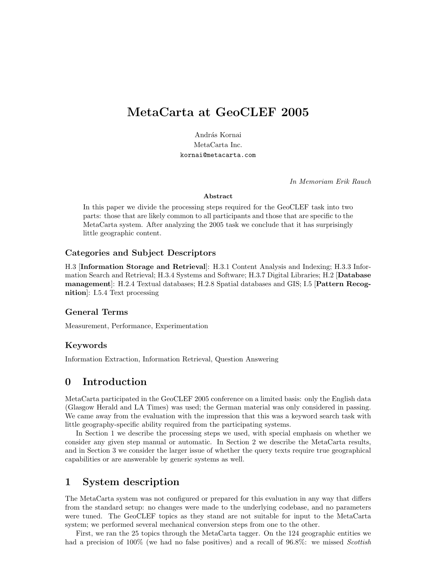# MetaCarta at GeoCLEF 2005

András Kornai MetaCarta Inc. kornai@metacarta.com

In Memoriam Erik Rauch

#### Abstract

In this paper we divide the processing steps required for the GeoCLEF task into two parts: those that are likely common to all participants and those that are specific to the MetaCarta system. After analyzing the 2005 task we conclude that it has surprisingly little geographic content.

### Categories and Subject Descriptors

H.3 [Information Storage and Retrieval]: H.3.1 Content Analysis and Indexing; H.3.3 Information Search and Retrieval; H.3.4 Systems and Software; H.3.7 Digital Libraries; H.2 [Database management]: H.2.4 Textual databases; H.2.8 Spatial databases and GIS; I.5 [Pattern Recognition]: I.5.4 Text processing

### General Terms

Measurement, Performance, Experimentation

### Keywords

Information Extraction, Information Retrieval, Question Answering

# 0 Introduction

MetaCarta participated in the GeoCLEF 2005 conference on a limited basis: only the English data (Glasgow Herald and LA Times) was used; the German material was only considered in passing. We came away from the evaluation with the impression that this was a keyword search task with little geography-specific ability required from the participating systems.

In Section 1 we describe the processing steps we used, with special emphasis on whether we consider any given step manual or automatic. In Section 2 we describe the MetaCarta results, and in Section 3 we consider the larger issue of whether the query texts require true geographical capabilities or are answerable by generic systems as well.

# 1 System description

The MetaCarta system was not configured or prepared for this evaluation in any way that differs from the standard setup: no changes were made to the underlying codebase, and no parameters were tuned. The GeoCLEF topics as they stand are not suitable for input to the MetaCarta system; we performed several mechanical conversion steps from one to the other.

First, we ran the 25 topics through the MetaCarta tagger. On the 124 geographic entities we had a precision of 100% (we had no false positives) and a recall of  $96.8\%$ : we missed *Scottish*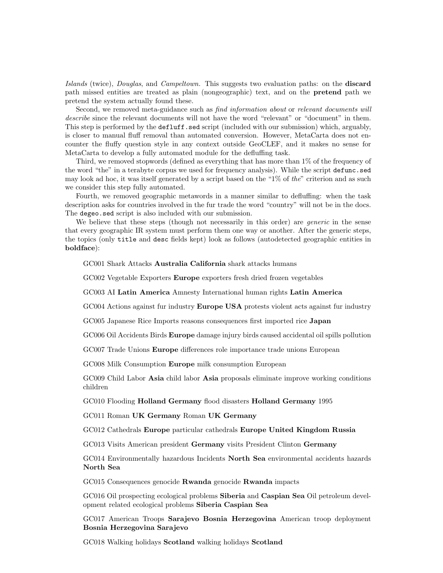Islands (twice), Douglas, and Campeltown. This suggests two evaluation paths: on the discard path missed entities are treated as plain (nongeographic) text, and on the pretend path we pretend the system actually found these.

Second, we removed meta-guidance such as *find information about* or *relevant documents will* describe since the relevant documents will not have the word "relevant" or "document" in them. This step is performed by the defluff.sed script (included with our submission) which, arguably, is closer to manual fluff removal than automated conversion. However, MetaCarta does not encounter the fluffy question style in any context outside GeoCLEF, and it makes no sense for MetaCarta to develop a fully automated module for the defluffing task.

Third, we removed stopwords (defined as everything that has more than 1% of the frequency of the word "the" in a terabyte corpus we used for frequency analysis). While the script defunc.sed may look ad hoc, it was itself generated by a script based on the "1% of the" criterion and as such we consider this step fully automated.

Fourth, we removed geographic metawords in a manner similar to defluffing: when the task description asks for countries involved in the fur trade the word "country" will not be in the docs. The degeo.sed script is also included with our submission.

We believe that these steps (though not necessarily in this order) are *generic* in the sense that every geographic IR system must perform them one way or another. After the generic steps, the topics (only title and desc fields kept) look as follows (autodetected geographic entities in boldface):

GC001 Shark Attacks Australia California shark attacks humans

GC002 Vegetable Exporters Europe exporters fresh dried frozen vegetables

GC003 AI Latin America Amnesty International human rights Latin America

GC004 Actions against fur industry Europe USA protests violent acts against fur industry

GC005 Japanese Rice Imports reasons consequences first imported rice Japan

GC006 Oil Accidents Birds Europe damage injury birds caused accidental oil spills pollution

GC007 Trade Unions Europe differences role importance trade unions European

GC008 Milk Consumption Europe milk consumption European

GC009 Child Labor Asia child labor Asia proposals eliminate improve working conditions children

GC010 Flooding Holland Germany flood disasters Holland Germany 1995

GC011 Roman UK Germany Roman UK Germany

GC012 Cathedrals Europe particular cathedrals Europe United Kingdom Russia

GC013 Visits American president Germany visits President Clinton Germany

GC014 Environmentally hazardous Incidents North Sea environmental accidents hazards North Sea

GC015 Consequences genocide Rwanda genocide Rwanda impacts

GC016 Oil prospecting ecological problems Siberia and Caspian Sea Oil petroleum development related ecological problems Siberia Caspian Sea

GC017 American Troops Sarajevo Bosnia Herzegovina American troop deployment Bosnia Herzegovina Sarajevo

GC018 Walking holidays Scotland walking holidays Scotland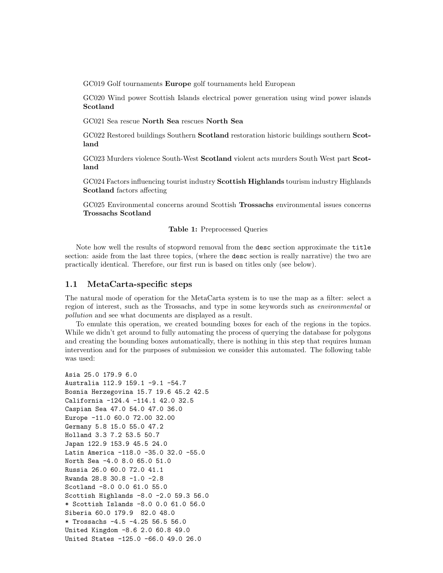GC019 Golf tournaments Europe golf tournaments held European

GC020 Wind power Scottish Islands electrical power generation using wind power islands Scotland

GC021 Sea rescue North Sea rescues North Sea

GC022 Restored buildings Southern Scotland restoration historic buildings southern Scotland

GC023 Murders violence South-West Scotland violent acts murders South West part Scotland

GC024 Factors influencing tourist industry Scottish Highlands tourism industry Highlands Scotland factors affecting

GC025 Environmental concerns around Scottish Trossachs environmental issues concerns Trossachs Scotland

#### Table 1: Preprocessed Queries

Note how well the results of stopword removal from the desc section approximate the title section: aside from the last three topics, (where the desc section is really narrative) the two are practically identical. Therefore, our first run is based on titles only (see below).

### 1.1 MetaCarta-specific steps

The natural mode of operation for the MetaCarta system is to use the map as a filter: select a region of interest, such as the Trossachs, and type in some keywords such as environmental or pollution and see what documents are displayed as a result.

To emulate this operation, we created bounding boxes for each of the regions in the topics. While we didn't get around to fully automating the process of querying the database for polygons and creating the bounding boxes automatically, there is nothing in this step that requires human intervention and for the purposes of submission we consider this automated. The following table was used:

```
Asia 25.0 179.9 6.0
Australia 112.9 159.1 -9.1 -54.7
Bosnia Herzegovina 15.7 19.6 45.2 42.5
California -124.4 -114.1 42.0 32.5
Caspian Sea 47.0 54.0 47.0 36.0
Europe -11.0 60.0 72.00 32.00
Germany 5.8 15.0 55.0 47.2
Holland 3.3 7.2 53.5 50.7
Japan 122.9 153.9 45.5 24.0
Latin America -118.0 -35.0 32.0 -55.0
North Sea -4.0 8.0 65.0 51.0
Russia 26.0 60.0 72.0 41.1
Rwanda 28.8 30.8 -1.0 -2.8
Scotland -8.0 0.0 61.0 55.0
Scottish Highlands -8.0 -2.0 59.3 56.0
* Scottish Islands -8.0 0.0 61.0 56.0
Siberia 60.0 179.9 82.0 48.0
* Trossachs -4.5 -4.25 56.5 56.0
United Kingdom -8.6 2.0 60.8 49.0
United States -125.0 -66.0 49.0 26.0
```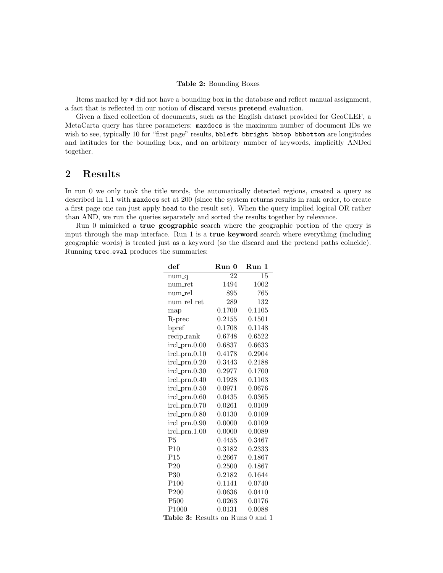#### Table 2: Bounding Boxes

Items marked by \* did not have a bounding box in the database and reflect manual assignment, a fact that is reflected in our notion of discard versus pretend evaluation.

Given a fixed collection of documents, such as the English dataset provided for GeoCLEF, a MetaCarta query has three parameters: maxdocs is the maximum number of document IDs we wish to see, typically 10 for "first page" results, bbleft bbright bbtop bbbottom are longitudes and latitudes for the bounding box, and an arbitrary number of keywords, implicitly ANDed together.

# 2 Results

In run 0 we only took the title words, the automatically detected regions, created a query as described in 1.1 with maxdocs set at 200 (since the system returns results in rank order, to create a first page one can just apply head to the result set). When the query implied logical OR rather than AND, we run the queries separately and sorted the results together by relevance.

Run 0 mimicked a true geographic search where the geographic portion of the query is input through the map interface. Run 1 is a **true keyword** search where everything (including geographic words) is treated just as a keyword (so the discard and the pretend paths coincide). Running trec eval produces the summaries:

| $\operatorname{def}$                | Run 0  | Run 1  |
|-------------------------------------|--------|--------|
| $num_q$                             | 22     | 15     |
| num_ret                             | 1494   | 1002   |
| num_rel                             | 895    | 765    |
| num_rel_ret                         | 289    | 132    |
| map                                 | 0.1700 | 0.1105 |
| R-prec                              | 0.2155 | 0.1501 |
| bpref                               | 0.1708 | 0.1148 |
| recip_rank                          | 0.6748 | 0.6522 |
| ircl_prn.0.00                       | 0.6837 | 0.6633 |
| $ircl\_prn.0.10$                    | 0.4178 | 0.2904 |
| ircl_prn.0.20                       | 0.3443 | 0.2188 |
| ircl_prn.0.30                       | 0.2977 | 0.1700 |
| ircl_prn.0.40                       | 0.1928 | 0.1103 |
| ircl_prn.0.50                       | 0.0971 | 0.0676 |
| ircl_prn.0.60                       | 0.0435 | 0.0365 |
| ircl_prn.0.70                       | 0.0261 | 0.0109 |
| ircl_prn.0.80                       | 0.0130 | 0.0109 |
| ircl_prn.0.90                       | 0.0000 | 0.0109 |
| $ircl\_prn.1.00$                    | 0.0000 | 0.0089 |
| P <sub>5</sub>                      | 0.4455 | 0.3467 |
| P10                                 | 0.3182 | 0.2333 |
| P15                                 | 0.2667 | 0.1867 |
| P20                                 | 0.2500 | 0.1867 |
| P <sub>30</sub>                     | 0.2182 | 0.1644 |
| P <sub>100</sub>                    | 0.1141 | 0.0740 |
| P200                                | 0.0636 | 0.0410 |
| P <sub>500</sub>                    | 0.0263 | 0.0176 |
| P <sub>1000</sub>                   | 0.0131 | 0.0088 |
| Table 3:<br>Results on Runs 0 and 1 |        |        |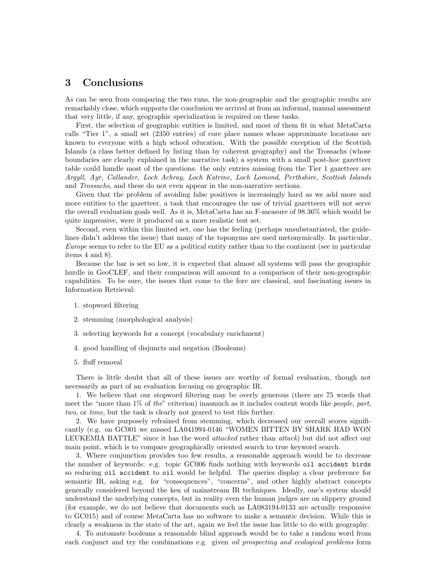# 3 Conclusions

As can be seen from comparing the two runs, the non-geographic and the geographic results are remarkably close, which supports the conclusion we arrived at from an informal, manual assessment that very little, if any, geographic specialization is required on these tasks.

First, the selection of geographic entities is limited, and most of them fit in what MetaCarta calls "Tier 1", a small set (2350 entries) of core place names whose approximate locations are known to everyone with a high school education. With the possible exception of the Scottish Islands (a class better defined by listing than by coherent geography) and the Trossachs (whose boundaries are clearly explained in the narrative task) a system with a small post-hoc gazetteer table could handle most of the questions: the only entries missing from the Tier 1 gazetteer are Argyll, Ayr, Callander, Loch Achray, Loch Katrine, Loch Lomond, Perthshire, Scottish Islands and Trossachs, and these do not even appear in the non-narrative sections.

Given that the problem of avoiding false positives is increasingly hard as we add more and more entities to the gazetteer, a task that encourages the use of trivial gazetteers will not serve the overall evaluation goals well. As it is, MetaCarta has an F-measure of 98.36% which would be quite impressive, were it produced on a more realistic test set.

Second, even within this limited set, one has the feeling (perhaps unsubstantiated, the guidelines didn't address the issue) that many of the toponyms are used metonymically. In particular, Europe seems to refer to the EU as a political entity rather than to the continent (see in particular items 4 and 8).

Because the bar is set so low, it is expected that almost all systems will pass the geographic hurdle in GeoCLEF, and their comparison will amount to a comparison of their non-geographic capabilities. To be sure, the issues that come to the fore are classical, and fascinating issues in Information Retrieval:

- 1. stopword filtering
- 2. stemming (morphological analysis)
- 3. selecting keywords for a concept (vocabulary enrichment)
- 4. good handling of disjuncts and negation (Booleans)
- 5. fluff removal

There is little doubt that all of these issues are worthy of formal evaluation, though not necessarily as part of an evaluation focusing on geographic IR.

1. We believe that our stopword filtering may be overly generous (there are 75 words that meet the "more than  $1\%$  of the" criterion) inasmuch as it includes content words like people, part, two, or time, but the task is clearly not geared to test this further.

2. We have purposely refrained from stemming, which decreased our overall scores significantly (e.g. on GC001 we missed LA041994-0146 "WOMEN BITTEN BY SHARK HAD WON LEUKEMIA BATTLE" since it has the word *attacked* rather than *attack*) but did not affect our main point, which is to compare geographically oriented search to true keyword search.

3. Where conjunction provides too few results, a reasonable approach would be to decrease the number of keywords: e.g. topic GC006 finds nothing with keywords oil accident birds so reducing oil accident to oil would be helpful. The queries display a clear preference for semantic IR, asking e.g. for "consequences", "concerns", and other highly abstract concepts generally considered beyond the ken of mainstream IR techniques. Ideally, one's system should understand the underlying concepts, but in reality even the human judges are on slippery ground (for example, we do not believe that documents such as LA083194-0133 are actually responsive to GC015) and of course MetaCarta has no software to make a semantic decision. While this is clearly a weakness in the state of the art, again we feel the issue has little to do with geography.

4. To automate booleans a reasonable blind approach would be to take a random word from each conjunct and try the combinations e.g. given *oil prospecting and ecological problems* form